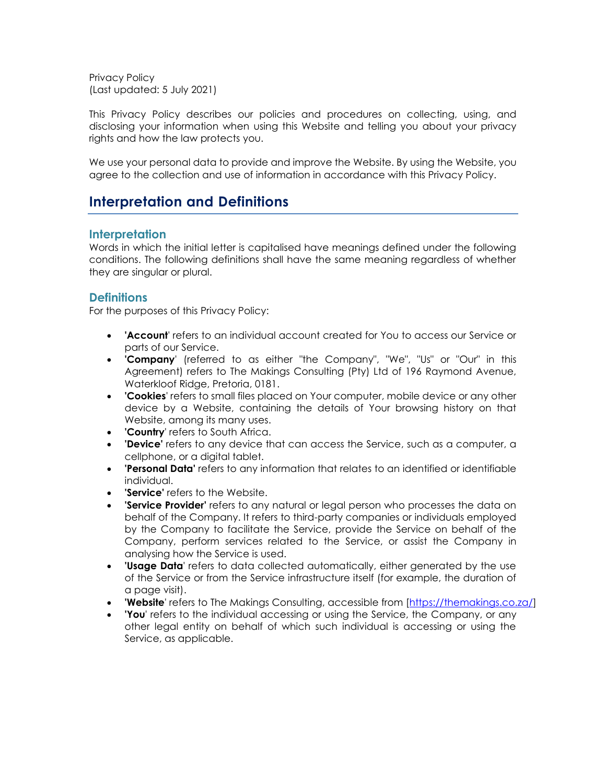Privacy Policy (Last updated: 5 July 2021)

This Privacy Policy describes our policies and procedures on collecting, using, and disclosing your information when using this Website and telling you about your privacy rights and how the law protects you.

We use your personal data to provide and improve the Website. By using the Website, you agree to the collection and use of information in accordance with this Privacy Policy.

## **Interpretation and Definitions**

### **Interpretation**

Words in which the initial letter is capitalised have meanings defined under the following conditions. The following definitions shall have the same meaning regardless of whether they are singular or plural.

### **Definitions**

For the purposes of this Privacy Policy:

- **'Account**' refers to an individual account created for You to access our Service or parts of our Service.
- **'Company**' (referred to as either "the Company", "We", "Us" or "Our" in this Agreement) refers to The Makings Consulting (Pty) Ltd of 196 Raymond Avenue, Waterkloof Ridge, Pretoria, 0181.
- **'Cookies**' refers to small files placed on Your computer, mobile device or any other device by a Website, containing the details of Your browsing history on that Website, among its many uses.
- **'Country**' refers to South Africa.
- **'Device'** refers to any device that can access the Service, such as a computer, a cellphone, or a digital tablet.
- **'Personal Data'** refers to any information that relates to an identified or identifiable individual.
- **'Service'** refers to the Website.
- **'Service Provider'** refers to any natural or legal person who processes the data on behalf of the Company. It refers to third-party companies or individuals employed by the Company to facilitate the Service, provide the Service on behalf of the Company, perform services related to the Service, or assist the Company in analysing how the Service is used.
- **'Usage Data**' refers to data collected automatically, either generated by the use of the Service or from the Service infrastructure itself (for example, the duration of a page visit).
- **'Website'** refers to The Makings Consulting, accessible from [\[https://themakings.co.za/\]](https://themakings.co.za/)
- **'You**' refers to the individual accessing or using the Service, the Company, or any other legal entity on behalf of which such individual is accessing or using the Service, as applicable.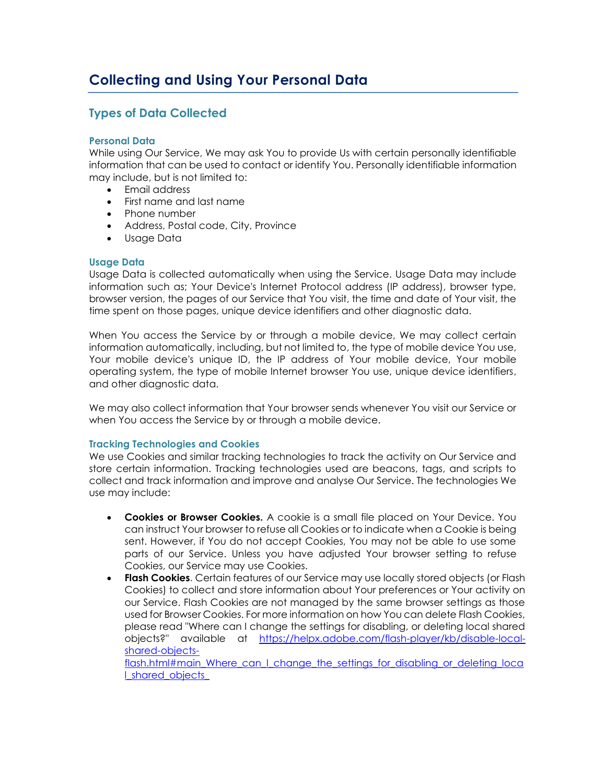## **Types of Data Collected**

### **Personal Data**

While using Our Service, We may ask You to provide Us with certain personally identifiable information that can be used to contact or identify You. Personally identifiable information may include, but is not limited to:

- Email address
- First name and last name
- Phone number
- Address, Postal code, City, Province
- Usage Data

#### **Usage Data**

Usage Data is collected automatically when using the Service. Usage Data may include information such as; Your Device's Internet Protocol address (IP address), browser type, browser version, the pages of our Service that You visit, the time and date of Your visit, the time spent on those pages, unique device identifiers and other diagnostic data.

When You access the Service by or through a mobile device, We may collect certain information automatically, including, but not limited to, the type of mobile device You use, Your mobile device's unique ID, the IP address of Your mobile device, Your mobile operating system, the type of mobile Internet browser You use, unique device identifiers, and other diagnostic data.

We may also collect information that Your browser sends whenever You visit our Service or when You access the Service by or through a mobile device.

#### **Tracking Technologies and Cookies**

We use Cookies and similar tracking technologies to track the activity on Our Service and store certain information. Tracking technologies used are beacons, tags, and scripts to collect and track information and improve and analyse Our Service. The technologies We use may include:

- **Cookies or Browser Cookies.** A cookie is a small file placed on Your Device. You can instruct Your browser to refuse all Cookies or to indicate when a Cookie is being sent. However, if You do not accept Cookies, You may not be able to use some parts of our Service. Unless you have adjusted Your browser setting to refuse Cookies, our Service may use Cookies.
- **Flash Cookies.** Certain features of our Service may use locally stored objects (or Flash Cookies) to collect and store information about Your preferences or Your activity on our Service. Flash Cookies are not managed by the same browser settings as those used for Browser Cookies. For more information on how You can delete Flash Cookies, please read "Where can I change the settings for disabling, or deleting local shared objects?" available at [https://helpx.adobe.com/flash-player/kb/disable-local](https://helpx.adobe.com/flash-player/kb/disable-local-shared-objects-flash.html#main_Where_can_I_change_the_settings_for_disabling_or_deleting_local_shared_objects_)[shared-objects-](https://helpx.adobe.com/flash-player/kb/disable-local-shared-objects-flash.html#main_Where_can_I_change_the_settings_for_disabling_or_deleting_local_shared_objects_)

[flash.html#main\\_Where\\_can\\_I\\_change\\_the\\_settings\\_for\\_disabling\\_or\\_deleting\\_loca](https://helpx.adobe.com/flash-player/kb/disable-local-shared-objects-flash.html#main_Where_can_I_change_the_settings_for_disabling_or_deleting_local_shared_objects_) [l\\_shared\\_objects\\_](https://helpx.adobe.com/flash-player/kb/disable-local-shared-objects-flash.html#main_Where_can_I_change_the_settings_for_disabling_or_deleting_local_shared_objects_)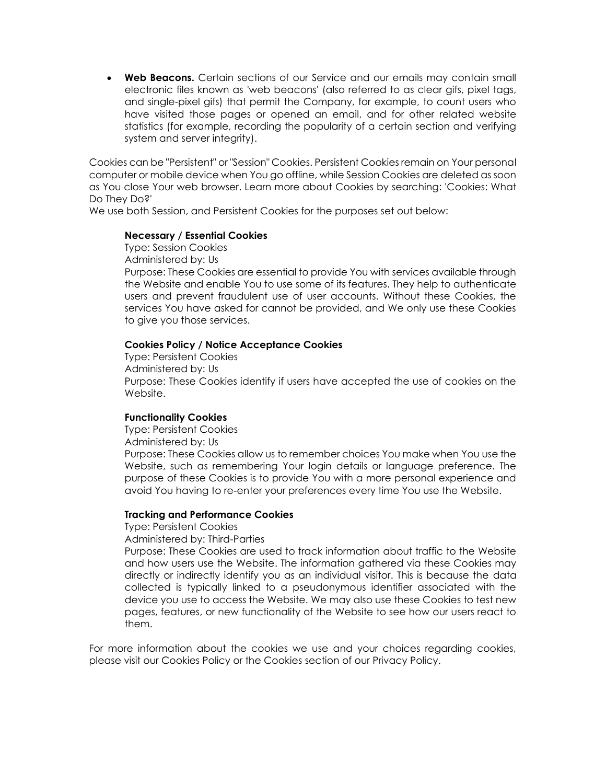• **Web Beacons.** Certain sections of our Service and our emails may contain small electronic files known as 'web beacons' (also referred to as clear gifs, pixel tags, and single-pixel gifs) that permit the Company, for example, to count users who have visited those pages or opened an email, and for other related website statistics (for example, recording the popularity of a certain section and verifying system and server integrity).

Cookies can be "Persistent" or "Session" Cookies. Persistent Cookies remain on Your personal computer or mobile device when You go offline, while Session Cookies are deleted as soon as You close Your web browser. Learn more about Cookies by searching: ['Cookies: What](https://www.freeprivacypolicy.com/blog/cookies/)  [Do They Do?'](https://www.freeprivacypolicy.com/blog/cookies/)

We use both Session, and Persistent Cookies for the purposes set out below:

#### **Necessary / Essential Cookies**

Type: Session Cookies Administered by: Us

Purpose: These Cookies are essential to provide You with services available through the Website and enable You to use some of its features. They help to authenticate users and prevent fraudulent use of user accounts. Without these Cookies, the services You have asked for cannot be provided, and We only use these Cookies to give you those services.

#### **Cookies Policy / Notice Acceptance Cookies**

Type: Persistent Cookies Administered by: Us Purpose: These Cookies identify if users have accepted the use of cookies on the Website.

#### **Functionality Cookies**

Type: Persistent Cookies

Administered by: Us

Purpose: These Cookies allow us to remember choices You make when You use the Website, such as remembering Your login details or language preference. The purpose of these Cookies is to provide You with a more personal experience and avoid You having to re-enter your preferences every time You use the Website.

#### **Tracking and Performance Cookies**

Type: Persistent Cookies

Administered by: Third-Parties

Purpose: These Cookies are used to track information about traffic to the Website and how users use the Website. The information gathered via these Cookies may directly or indirectly identify you as an individual visitor. This is because the data collected is typically linked to a pseudonymous identifier associated with the device you use to access the Website. We may also use these Cookies to test new pages, features, or new functionality of the Website to see how our users react to them.

For more information about the cookies we use and your choices regarding cookies, please visit our Cookies Policy or the Cookies section of our Privacy Policy.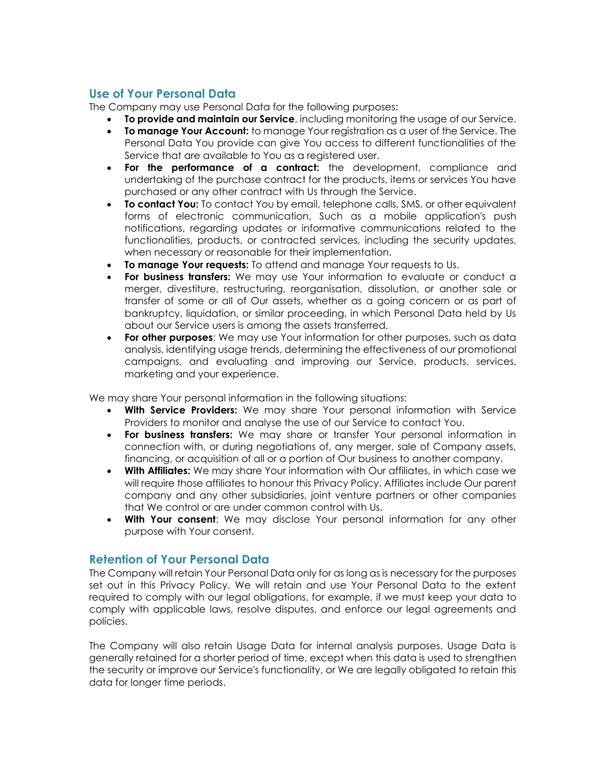## **Use of Your Personal Data**

The Company may use Personal Data for the following purposes:

- **To provide and maintain our Service**, including monitoring the usage of our Service.
- **To manage Your Account:** to manage Your registration as a user of the Service. The Personal Data You provide can give You access to different functionalities of the Service that are available to You as a registered user.
- **For the performance of a contract:** the development, compliance and undertaking of the purchase contract for the products, items or services You have purchased or any other contract with Us through the Service.
- **To contact You:** To contact You by email, telephone calls, SMS, or other equivalent forms of electronic communication, Such as a mobile application's push notifications, regarding updates or informative communications related to the functionalities, products, or contracted services, including the security updates, when necessary or reasonable for their implementation.
- **To manage Your requests:** To attend and manage Your requests to Us.
- **For business transfers:** We may use Your information to evaluate or conduct a merger, divestiture, restructuring, reorganisation, dissolution, or another sale or transfer of some or all of Our assets, whether as a going concern or as part of bankruptcy, liquidation, or similar proceeding, in which Personal Data held by Us about our Service users is among the assets transferred.
- **For other purposes**: We may use Your information for other purposes, such as data analysis, identifying usage trends, determining the effectiveness of our promotional campaigns, and evaluating and improving our Service, products, services, marketing and your experience.

We may share Your personal information in the following situations:

- **With Service Providers:** We may share Your personal information with Service Providers to monitor and analyse the use of our Service to contact You.
- **For business transfers:** We may share or transfer Your personal information in connection with, or during negotiations of, any merger, sale of Company assets, financing, or acquisition of all or a portion of Our business to another company.
- **With Affiliates:** We may share Your information with Our affiliates, in which case we will require those affiliates to honour this Privacy Policy. Affiliates include Our parent company and any other subsidiaries, joint venture partners or other companies that We control or are under common control with Us.
- **With Your consent**: We may disclose Your personal information for any other purpose with Your consent.

## **Retention of Your Personal Data**

The Company will retain Your Personal Data only for as long as is necessary for the purposes set out in this Privacy Policy. We will retain and use Your Personal Data to the extent required to comply with our legal obligations, for example, if we must keep your data to comply with applicable laws, resolve disputes, and enforce our legal agreements and policies.

The Company will also retain Usage Data for internal analysis purposes. Usage Data is generally retained for a shorter period of time, except when this data is used to strengthen the security or improve our Service's functionality, or We are legally obligated to retain this data for longer time periods.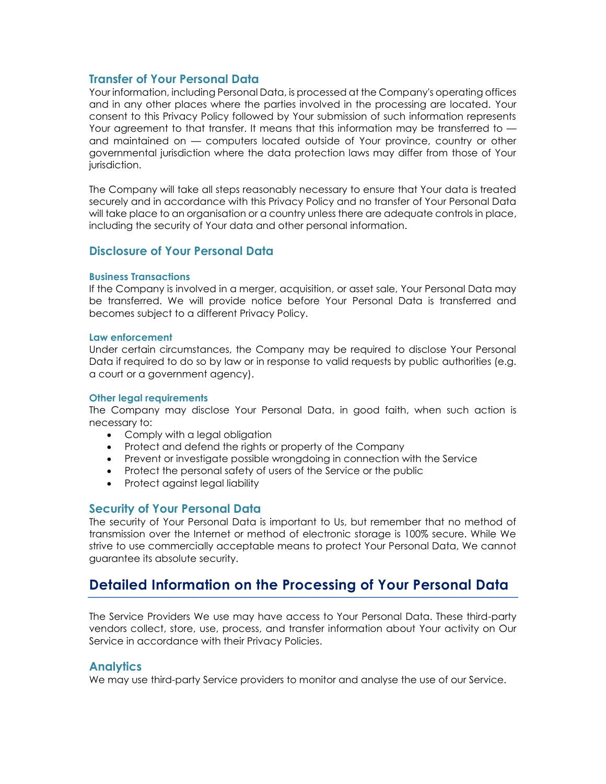## **Transfer of Your Personal Data**

Your information, including Personal Data, is processed at the Company's operating offices and in any other places where the parties involved in the processing are located. Your consent to this Privacy Policy followed by Your submission of such information represents Your agreement to that transfer. It means that this information may be transferred to  $$ and maintained on — computers located outside of Your province, country or other governmental jurisdiction where the data protection laws may differ from those of Your jurisdiction.

The Company will take all steps reasonably necessary to ensure that Your data is treated securely and in accordance with this Privacy Policy and no transfer of Your Personal Data will take place to an organisation or a country unless there are adequate controls in place, including the security of Your data and other personal information.

### **Disclosure of Your Personal Data**

#### **Business Transactions**

If the Company is involved in a merger, acquisition, or asset sale, Your Personal Data may be transferred. We will provide notice before Your Personal Data is transferred and becomes subject to a different Privacy Policy.

#### **Law enforcement**

Under certain circumstances, the Company may be required to disclose Your Personal Data if required to do so by law or in response to valid requests by public authorities (e.g. a court or a government agency).

#### **Other legal requirements**

The Company may disclose Your Personal Data, in good faith, when such action is necessary to:

- Comply with a legal obligation
- Protect and defend the rights or property of the Company
- Prevent or investigate possible wrongdoing in connection with the Service
- Protect the personal safety of users of the Service or the public
- Protect against legal liability

### **Security of Your Personal Data**

The security of Your Personal Data is important to Us, but remember that no method of transmission over the Internet or method of electronic storage is 100% secure. While We strive to use commercially acceptable means to protect Your Personal Data, We cannot guarantee its absolute security.

## **Detailed Information on the Processing of Your Personal Data**

The Service Providers We use may have access to Your Personal Data. These third-party vendors collect, store, use, process, and transfer information about Your activity on Our Service in accordance with their Privacy Policies.

### **Analytics**

We may use third-party Service providers to monitor and analyse the use of our Service.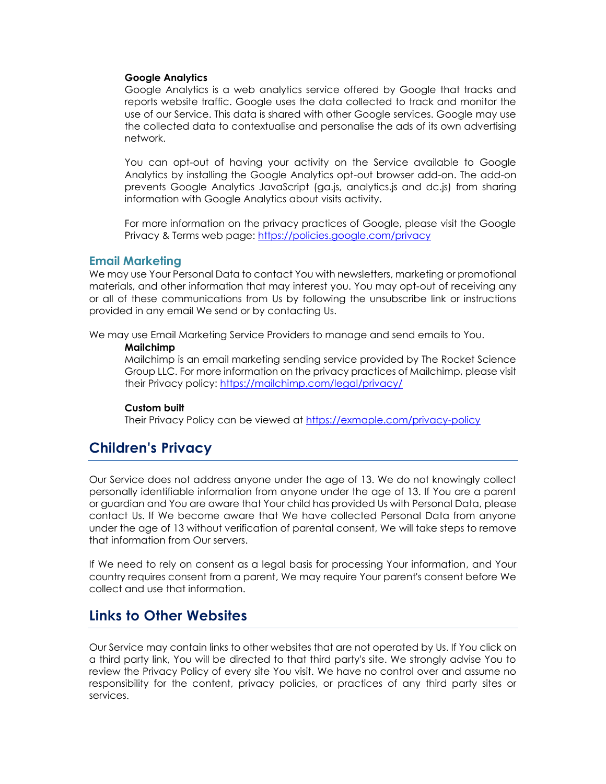#### **Google Analytics**

Google Analytics is a web analytics service offered by Google that tracks and reports website traffic. Google uses the data collected to track and monitor the use of our Service. This data is shared with other Google services. Google may use the collected data to contextualise and personalise the ads of its own advertising network.

You can opt-out of having your activity on the Service available to Google Analytics by installing the Google Analytics opt-out browser add-on. The add-on prevents Google Analytics JavaScript (ga.js, analytics.js and dc.js) from sharing information with Google Analytics about visits activity.

For more information on the privacy practices of Google, please visit the Google Privacy & Terms web page:<https://policies.google.com/privacy>

#### **Email Marketing**

We may use Your Personal Data to contact You with newsletters, marketing or promotional materials, and other information that may interest you. You may opt-out of receiving any or all of these communications from Us by following the unsubscribe link or instructions provided in any email We send or by contacting Us.

We may use Email Marketing Service Providers to manage and send emails to You.

#### **Mailchimp**

Mailchimp is an email marketing sending service provided by The Rocket Science Group LLC. For more information on the privacy practices of Mailchimp, please visit their Privacy policy:<https://mailchimp.com/legal/privacy/>

#### **Custom built**

Their Privacy Policy can be viewed at<https://exmaple.com/privacy-policy>

## **Children's Privacy**

Our Service does not address anyone under the age of 13. We do not knowingly collect personally identifiable information from anyone under the age of 13. If You are a parent or guardian and You are aware that Your child has provided Us with Personal Data, please contact Us. If We become aware that We have collected Personal Data from anyone under the age of 13 without verification of parental consent, We will take steps to remove that information from Our servers.

If We need to rely on consent as a legal basis for processing Your information, and Your country requires consent from a parent, We may require Your parent's consent before We collect and use that information.

## **Links to Other Websites**

Our Service may contain links to other websites that are not operated by Us. If You click on a third party link, You will be directed to that third party's site. We strongly advise You to review the Privacy Policy of every site You visit. We have no control over and assume no responsibility for the content, privacy policies, or practices of any third party sites or services.